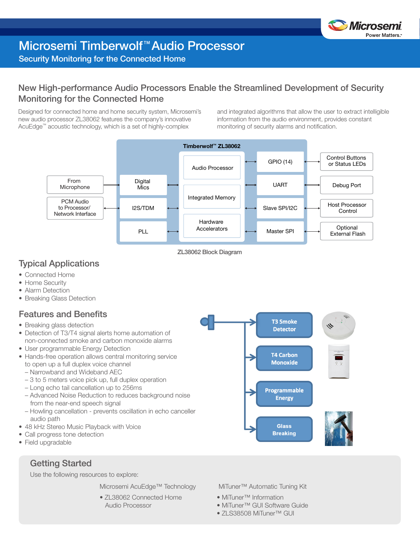

# Microsemi Timberwolf™ Audio Processor

#### Security Monitoring for the Connected Home

#### New High-performance Audio Processors Enable the Streamlined Development of Security Monitoring for the Connected Home

Designed for connected home and home security system, Microsemi's new audio processor ZL38062 features the company's innovative AcuEdge™ acoustic technology, which is a set of highly-complex

and integrated algorithms that allow the user to extract intelligible information from the audio environment, provides constant monitoring of security alarms and notification.



ZL38062 Block Diagram

#### Typical Applications

- Connected Home
- Home Security
- Alarm Detection
- Breaking Glass Detection

#### Features and Benefits

- Breaking glass detection
- Detection of T3/T4 signal alerts home automation of non-connected smoke and carbon monoxide alarms
- User programmable Energy Detection
- Hands-free operation allows central monitoring service to open up a full duplex voice channel
	- Narrowband and Wideband AEC
	- 3 to 5 meters voice pick up, full duplex operation
	- Long echo tail cancellation up to 256ms
	- Advanced Noise Reduction to reduces background noise from the near-end speech signal
	- Howling cancellation prevents oscillation in echo canceller audio path
- 48 kHz Stereo Music Playback with Voice
- Call progress tone detection
- Field upgradable

Getting Started

Use the following resources to explore:

Microsemi AcuEdge™ Technology

• ZL38062 Connected Home Audio Processor



MiTuner™ Automatic Tuning Kit

- MiTuner™ Information
- MiTuner™ GUI Software Guide
- ZLS38508 MiTuner™ GUI